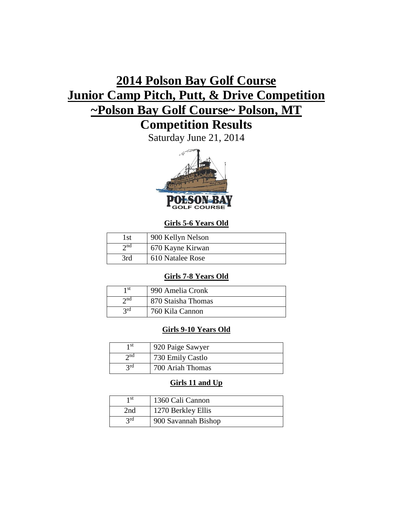# **2014 Polson Bay Golf Course Junior Camp Pitch, Putt, & Drive Competition ~Polson Bay Golf Course~ Polson, MT**

## **Competition Results**

Saturday June 21, 2014



## **Girls 5-6 Years Old**

| l st        | 900 Kellyn Nelson |
|-------------|-------------------|
| $\gamma$ nd | 670 Kayne Kirwan  |
| 3rd         | 610 Natalee Rose  |

## **Girls 7-8 Years Old**

| 1 st        | 990 Amelia Cronk   |
|-------------|--------------------|
| $\gamma$ nd | 870 Staisha Thomas |
| 2rd         | 760 Kila Cannon    |

## **Girls 9-10 Years Old**

| 1 st        | 920 Paige Sawyer |
|-------------|------------------|
| $\gamma$ nd | 730 Emily Castlo |
| 2rd         | 700 Ariah Thomas |

## **Girls 11 and Up**

| 1 st | 1360 Cali Cannon    |
|------|---------------------|
| 2nd  | 1270 Berkley Ellis  |
| 2rd  | 900 Savannah Bishop |